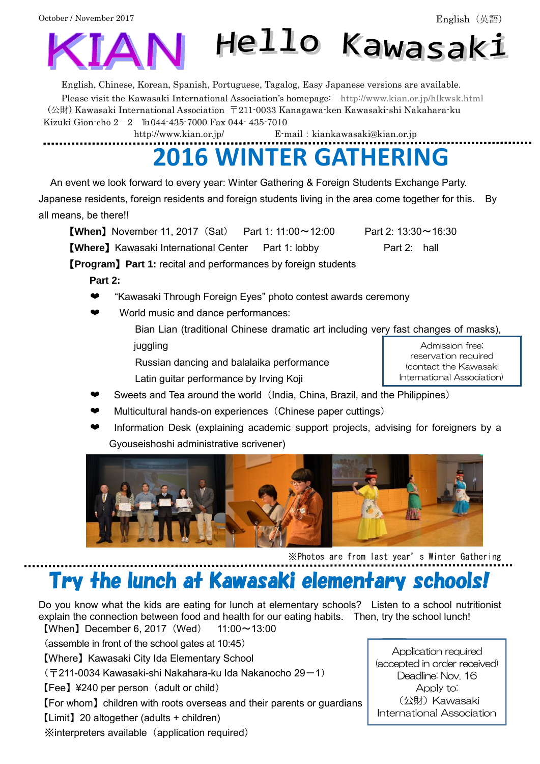

English, Chinese, Korean, Spanish, Portuguese, Tagalog, Easy Japanese versions are available. Please visit the Kawasaki International Association's homepage: <http://www.kian.or.jp/hlkwsk.html> (公財) Kawasaki International Association 〒211-0033 Kanagawa-ken Kawasaki-shi Nakahara-ku Kizuki Gion-cho  $2-2$   $\text{Im}044-435-7000$  Fax 044-435-7010

<http://www.kian.or.jp/>E-mail: kiankawasaki@kian.or.jp

# **2016 WINTER GATHERING**

An event we look forward to every year: Winter Gathering & Foreign Students Exchange Party. Japanese residents, foreign residents and foreign students living in the area come together for this. By all means, be there!!

**[When]** November 11, 2017 (Sat) Part 1: 11:00~12:00 Part 2: 13:30~16:30

**[Where]** Kawasaki International Center Part 1: lobby Part 2: hall

【**Program**】**Part 1:** recital and performances by foreign students

 **Part 2:**

- ❤ "Kawasaki Through Foreign Eyes" photo contest awards ceremony
- World music and dance performances:
	- Bian Lian (traditional Chinese dramatic art including very fast changes of masks), juggling

Russian dancing and balalaika performance

Latin guitar performance by Irving Koji

- Sweets and Tea around the world (India, China, Brazil, and the Philippines)
- Multicultural hands-on experiences (Chinese paper cuttings)
- Information Desk (explaining academic support projects, advising for foreigners by a Gyouseishoshi administrative scrivener)



※Photos are from last year's Winter Gathering

# Try the lunch at Kawasaki elementary schools!

Do you know what the kids are eating for lunch at elementary schools? Listen to a school nutritionist explain the connection between food and health for our eating habits. Then, try the school lunch! **[When]** December 6, 2017 (Wed)  $11:00 \sim 13:00$ 

(assemble in front of the school gates at 10:45)

【Where】Kawasaki City Ida Elementary School

- (〒211-0034 Kawasaki-shi Nakahara-ku Ida Nakanocho 29-1)
- $[Fee]$  ¥240 per person (adult or child)

【For whom】children with roots overseas and their parents or guardians

【Limit】20 altogether (adults + children)

※interpreters available(application required)

Application required (accepted in order received) Deadline: Nov. 16 Apply to: (公財) Kawasaki International Association

Admission free; reservation required (contact the Kawasaki International Association)